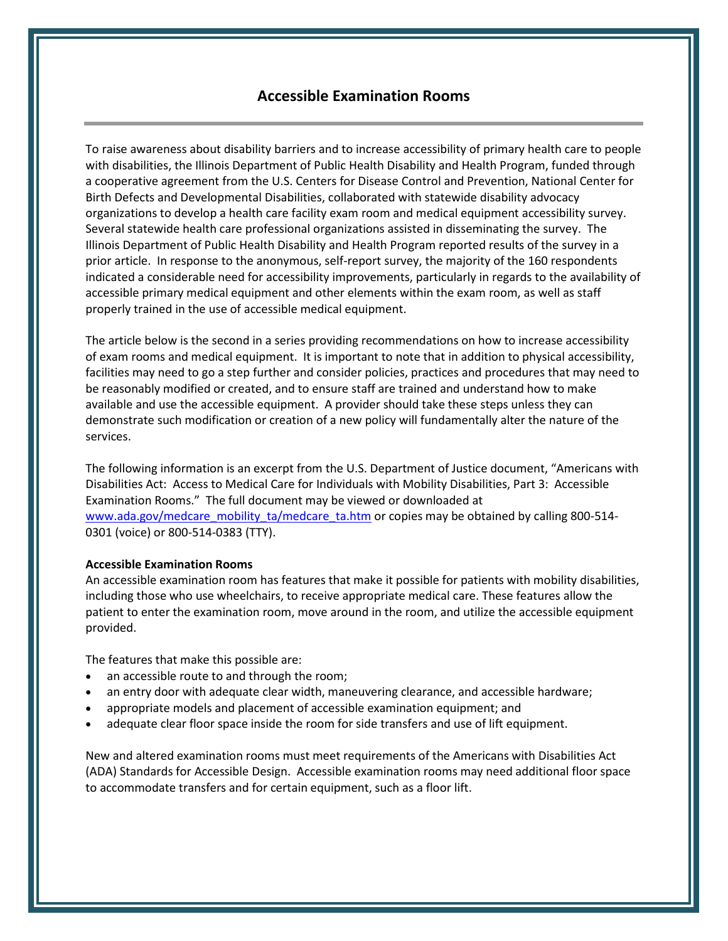## **Accessible Examination Rooms**

To raise awareness about disability barriers and to increase accessibility of primary health care to people with disabilities, the Illinois Department of Public Health Disability and Health Program, funded through a cooperative agreement from the U.S. Centers for Disease Control and Prevention, National Center for Birth Defects and Developmental Disabilities, collaborated with statewide disability advocacy organizations to develop a health care facility exam room and medical equipment accessibility survey. Several statewide health care professional organizations assisted in disseminating the survey. The Illinois Department of Public Health Disability and Health Program reported results of the survey in a prior article. In response to the anonymous, self-report survey, the majority of the 160 respondents indicated a considerable need for accessibility improvements, particularly in regards to the availability of accessible primary medical equipment and other elements within the exam room, as well as staff properly trained in the use of accessible medical equipment.

The article below is the second in a series providing recommendations on how to increase accessibility of exam rooms and medical equipment. It is important to note that in addition to physical accessibility, facilities may need to go a step further and consider policies, practices and procedures that may need to be reasonably modified or created, and to ensure staff are trained and understand how to make available and use the accessible equipment. A provider should take these steps unless they can demonstrate such modification or creation of a new policy will fundamentally alter the nature of the services.

The following information is an excerpt from the U.S. Department of Justice document, "Americans with Disabilities Act: Access to Medical Care for Individuals with Mobility Disabilities, Part 3: Accessible Examination Rooms." The full document may be viewed or downloaded at [www.ada.gov/medcare\\_mobility\\_ta/medcare\\_ta.htm](http://www.ada.gov/medcare_mobility_ta/medcare_ta.htm) or copies may be obtained by calling 800-514-0301 (voice) or 800-514-0383 (TTY).

## **Accessible Examination Rooms**

An accessible examination room has features that make it possible for patients with mobility disabilities, including those who use wheelchairs, to receive appropriate medical care. These features allow the patient to enter the examination room, move around in the room, and utilize the accessible equipment provided.

The features that make this possible are:

- an accessible route to and through the room;
- an entry door with adequate clear width, maneuvering clearance, and accessible hardware;
- appropriate models and placement of accessible examination equipment; and
- adequate clear floor space inside the room for side transfers and use of lift equipment.

New and altered examination rooms must meet requirements of the Americans with Disabilities Act (ADA) Standards for Accessible Design. Accessible examination rooms may need additional floor space to accommodate transfers and for certain equipment, such as a floor lift.